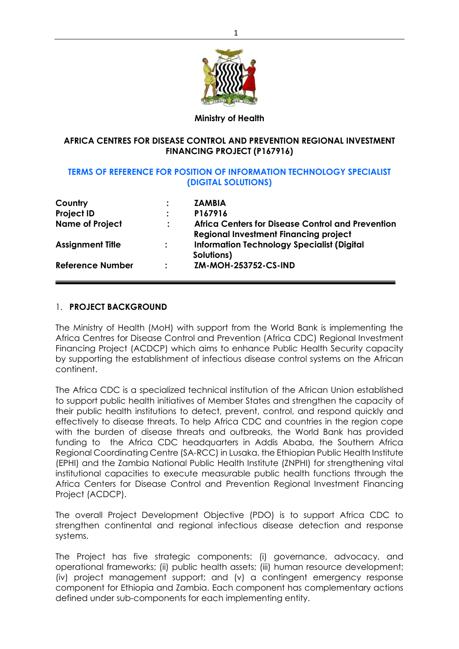

#### **Ministry of Health**

#### **AFRICA CENTRES FOR DISEASE CONTROL AND PREVENTION REGIONAL INVESTMENT FINANCING PROJECT (P167916)**

#### **TERMS OF REFERENCE FOR POSITION OF INFORMATION TECHNOLOGY SPECIALIST (DIGITAL SOLUTIONS)**

| Country                 |                      | <b>ZAMBIA</b>                                     |
|-------------------------|----------------------|---------------------------------------------------|
| <b>Project ID</b>       |                      | P167916                                           |
| <b>Name of Project</b>  | $\ddot{\phantom{a}}$ | Africa Centers for Disease Control and Prevention |
|                         |                      | <b>Regional Investment Financing project</b>      |
| <b>Assignment Title</b> | $\ddot{\cdot}$       | <b>Information Technology Specialist (Digital</b> |
|                         |                      | Solutions)                                        |
| <b>Reference Number</b> | $\ddot{\phantom{a}}$ | ZM-MOH-253752-CS-IND                              |
|                         |                      |                                                   |

#### 1. **PROJECT BACKGROUND**

The Ministry of Health (MoH) with support from the World Bank is implementing the Africa Centres for Disease Control and Prevention (Africa CDC) Regional Investment Financing Project (ACDCP) which aims to enhance Public Health Security capacity by supporting the establishment of infectious disease control systems on the African continent.

The Africa CDC is a specialized technical institution of the African Union established to support public health initiatives of Member States and strengthen the capacity of their public health institutions to detect, prevent, control, and respond quickly and effectively to disease threats. To help Africa CDC and countries in the region cope with the burden of disease threats and outbreaks, the World Bank has provided funding to the Africa CDC headquarters in Addis Ababa, the Southern Africa Regional Coordinating Centre (SA-RCC) in Lusaka, the Ethiopian Public Health Institute (EPHI) and the Zambia National Public Health Institute (ZNPHI) for strengthening vital institutional capacities to execute measurable public health functions through the Africa Centers for Disease Control and Prevention Regional Investment Financing Project (ACDCP).

The overall Project Development Objective (PDO) is to support Africa CDC to strengthen continental and regional infectious disease detection and response systems.

The Project has five strategic components: (i) governance, advocacy, and operational frameworks; (ii) public health assets; (iii) human resource development; (iv) project management support; and (v) a contingent emergency response component for Ethiopia and Zambia. Each component has complementary actions defined under sub-components for each implementing entity.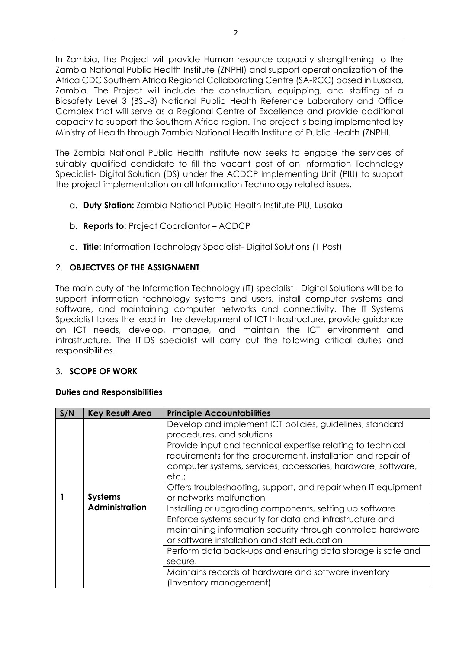In Zambia, the Project will provide Human resource capacity strengthening to the Zambia National Public Health Institute (ZNPHI) and support operationalization of the Africa CDC Southern Africa Regional Collaborating Centre (SA-RCC) based in Lusaka, Zambia. The Project will include the construction, equipping, and staffing of a Biosafety Level 3 (BSL-3) National Public Health Reference Laboratory and Office Complex that will serve as a Regional Centre of Excellence and provide additional capacity to support the Southern Africa region. The project is being implemented by Ministry of Health through Zambia National Health Institute of Public Health (ZNPHI.

The Zambia National Public Health Institute now seeks to engage the services of suitably qualified candidate to fill the vacant post of an Information Technology Specialist- Digital Solution (DS) under the ACDCP Implementing Unit (PIU) to support the project implementation on all Information Technology related issues.

- a. **Duty Station:** Zambia National Public Health Institute PIU, Lusaka
- b. **Reports to:** Project Coordiantor ACDCP
- c. **Title:** Information Technology Specialist- Digital Solutions (1 Post)

## 2. **OBJECTVES OF THE ASSIGNMENT**

The main duty of the Information Technology (IT) specialist - Digital Solutions will be to support information technology systems and users, install computer systems and software, and maintaining computer networks and connectivity. The IT Systems Specialist takes the lead in the development of ICT Infrastructure, provide guidance on ICT needs, develop, manage, and maintain the ICT environment and infrastructure. The IT-DS specialist will carry out the following critical duties and responsibilities.

## 3. **SCOPE OF WORK**

## **Duties and Responsibilities**

| S/N            | <b>Key Result Area</b>                                                                   | <b>Principle Accountabilities</b>                                                                                                                                        |
|----------------|------------------------------------------------------------------------------------------|--------------------------------------------------------------------------------------------------------------------------------------------------------------------------|
|                |                                                                                          | Develop and implement ICT policies, guidelines, standard<br>procedures, and solutions<br>Provide input and technical expertise relating to technical                     |
|                |                                                                                          | requirements for the procurement, installation and repair of                                                                                                             |
|                |                                                                                          | computer systems, services, accessories, hardware, software,<br>etc.:                                                                                                    |
| <b>Systems</b> | Offers troubleshooting, support, and repair when IT equipment<br>or networks malfunction |                                                                                                                                                                          |
|                | <b>Administration</b>                                                                    | Installing or upgrading components, setting up software                                                                                                                  |
|                |                                                                                          | Enforce systems security for data and infrastructure and<br>maintaining information security through controlled hardware<br>or software installation and staff education |
|                |                                                                                          | Perform data back-ups and ensuring data storage is safe and                                                                                                              |
|                |                                                                                          | secure.                                                                                                                                                                  |
|                |                                                                                          | Maintains records of hardware and software inventory                                                                                                                     |
|                |                                                                                          | (Inventory management)                                                                                                                                                   |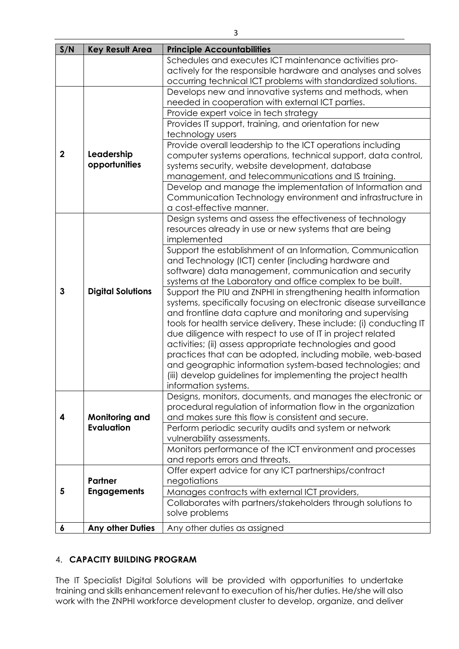| S/N              | <b>Key Result Area</b>   | <b>Principle Accountabilities</b>                                                                                       |
|------------------|--------------------------|-------------------------------------------------------------------------------------------------------------------------|
|                  |                          | Schedules and executes ICT maintenance activities pro-                                                                  |
|                  |                          | actively for the responsible hardware and analyses and solves                                                           |
|                  |                          | occurring technical ICT problems with standardized solutions.                                                           |
|                  |                          | Develops new and innovative systems and methods, when                                                                   |
|                  |                          | needed in cooperation with external ICT parties.                                                                        |
|                  |                          | Provide expert voice in tech strategy                                                                                   |
|                  |                          | Provides IT support, training, and orientation for new                                                                  |
|                  |                          | technology users                                                                                                        |
|                  |                          | Provide overall leadership to the ICT operations including                                                              |
| $\boldsymbol{2}$ | Leadership               | computer systems operations, technical support, data control,                                                           |
|                  | opportunities            | systems security, website development, database                                                                         |
|                  |                          | management, and telecommunications and IS training.                                                                     |
|                  |                          | Develop and manage the implementation of Information and                                                                |
|                  |                          | Communication Technology environment and infrastructure in                                                              |
|                  |                          | a cost-effective manner.                                                                                                |
|                  |                          | Design systems and assess the effectiveness of technology                                                               |
|                  |                          | resources already in use or new systems that are being                                                                  |
|                  |                          | implemented                                                                                                             |
|                  |                          | Support the establishment of an Information, Communication                                                              |
|                  |                          | and Technology (ICT) center (including hardware and                                                                     |
|                  |                          | software) data management, communication and security                                                                   |
|                  |                          | systems at the Laboratory and office complex to be built.                                                               |
| $\mathbf{3}$     | <b>Digital Solutions</b> | Support the PIU and ZNPHI in strengthening health information                                                           |
|                  |                          | systems, specifically focusing on electronic disease surveillance                                                       |
|                  |                          | and frontline data capture and monitoring and supervising                                                               |
|                  |                          | tools for health service delivery. These include: (i) conducting IT                                                     |
|                  |                          | due diligence with respect to use of IT in project related                                                              |
|                  |                          | activities; (ii) assess appropriate technologies and good                                                               |
|                  |                          | practices that can be adopted, including mobile, web-based<br>and geographic information system-based technologies; and |
|                  |                          | (iii) develop guidelines for implementing the project health                                                            |
|                  |                          | information systems.                                                                                                    |
|                  |                          | Designs, monitors, documents, and manages the electronic or                                                             |
|                  |                          | procedural regulation of information flow in the organization                                                           |
| 4                | <b>Monitoring and</b>    | and makes sure this flow is consistent and secure.                                                                      |
|                  | <b>Evaluation</b>        | Perform periodic security audits and system or network                                                                  |
|                  |                          | vulnerability assessments.                                                                                              |
|                  |                          | Monitors performance of the ICT environment and processes                                                               |
|                  |                          | and reports errors and threats.                                                                                         |
|                  |                          | Offer expert advice for any ICT partnerships/contract                                                                   |
|                  | <b>Partner</b>           | negotiations                                                                                                            |
| 5                | <b>Engagements</b>       | Manages contracts with external ICT providers,                                                                          |
|                  |                          | Collaborates with partners/stakeholders through solutions to                                                            |
|                  |                          | solve problems                                                                                                          |
|                  |                          |                                                                                                                         |
| 6                | <b>Any other Duties</b>  | Any other duties as assigned                                                                                            |

## 4. **CAPACITY BUILDING PROGRAM**

The IT Specialist Digital Solutions will be provided with opportunities to undertake training and skills enhancement relevant to execution of his/her duties. He/she will also work with the ZNPHI workforce development cluster to develop, organize, and deliver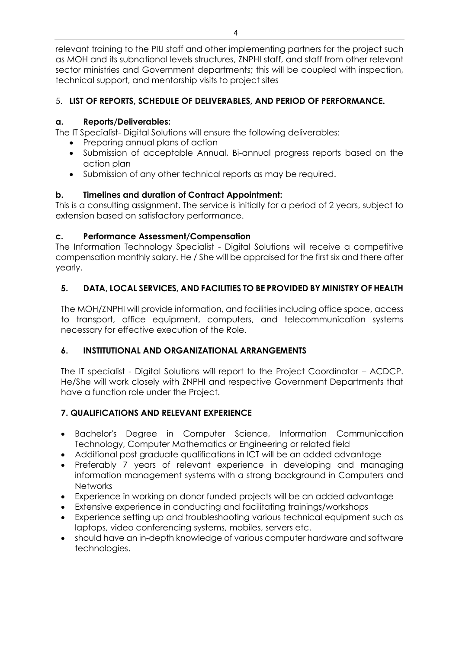relevant training to the PIU staff and other implementing partners for the project such as MOH and its subnational levels structures, ZNPHI staff, and staff from other relevant sector ministries and Government departments; this will be coupled with inspection, technical support, and mentorship visits to project sites

# 5. **LIST OF REPORTS, SCHEDULE OF DELIVERABLES, AND PERIOD OF PERFORMANCE.**

## **a. Reports/Deliverables:**

The IT Specialist- Digital Solutions will ensure the following deliverables:

- Preparing annual plans of action
- Submission of acceptable Annual, Bi-annual progress reports based on the action plan
- Submission of any other technical reports as may be required.

## **b. Timelines and duration of Contract Appointment:**

This is a consulting assignment. The service is initially for a period of 2 years, subject to extension based on satisfactory performance.

## **c. Performance Assessment/Compensation**

The Information Technology Specialist - Digital Solutions will receive a competitive compensation monthly salary. He / She will be appraised for the first six and there after yearly.

# **5. DATA, LOCAL SERVICES, AND FACILITIES TO BE PROVIDED BY MINISTRY OF HEALTH**

The MOH/ZNPHI will provide information, and facilities including office space, access to transport, office equipment, computers, and telecommunication systems necessary for effective execution of the Role.

## **6. INSTITUTIONAL AND ORGANIZATIONAL ARRANGEMENTS**

The IT specialist - Digital Solutions will report to the Project Coordinator – ACDCP. He/She will work closely with ZNPHI and respective Government Departments that have a function role under the Project.

# **7. QUALIFICATIONS AND RELEVANT EXPERIENCE**

- Bachelor's Degree in Computer Science, Information Communication Technology, Computer Mathematics or Engineering or related field
- Additional post graduate qualifications in ICT will be an added advantage
- Preferably 7 years of relevant experience in developing and managing information management systems with a strong background in Computers and **Networks**
- Experience in working on donor funded projects will be an added advantage
- Extensive experience in conducting and facilitating trainings/workshops
- Experience setting up and troubleshooting various technical equipment such as laptops, video conferencing systems, mobiles, servers etc.
- should have an in-depth knowledge of various computer hardware and software technologies.